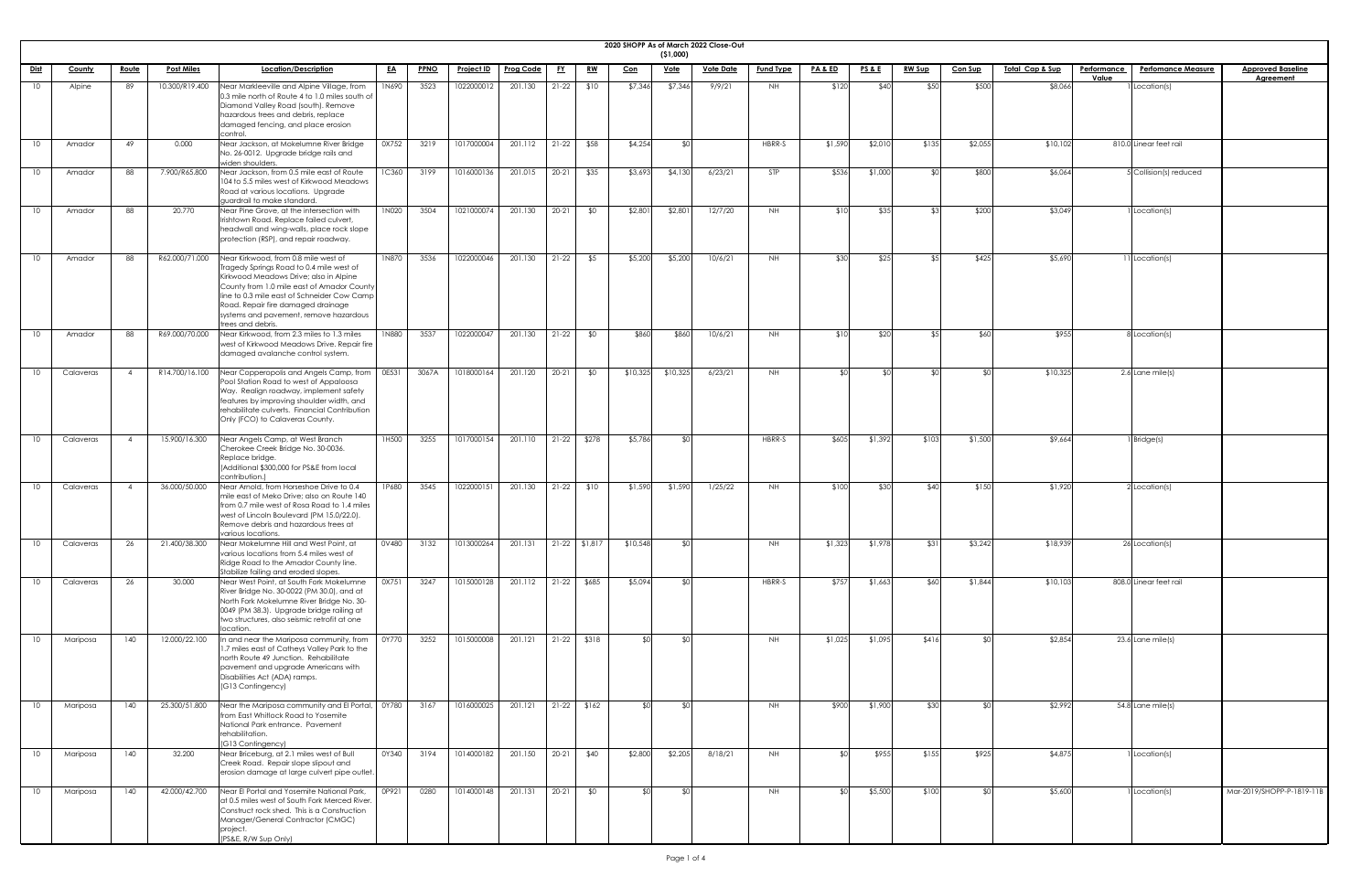| 2020 SHOPP |  |  |  |
|------------|--|--|--|

| 2020 SHOPP As of March 2022 Close-Out<br>( \$1,000) |               |                |                   |                                                                                                                                                                                                                                                                                                                              |              |             |                   |                  |           |                 |            |             |                  |                  |                    |                 |               |                |                            |                    |                           |                           |
|-----------------------------------------------------|---------------|----------------|-------------------|------------------------------------------------------------------------------------------------------------------------------------------------------------------------------------------------------------------------------------------------------------------------------------------------------------------------------|--------------|-------------|-------------------|------------------|-----------|-----------------|------------|-------------|------------------|------------------|--------------------|-----------------|---------------|----------------|----------------------------|--------------------|---------------------------|---------------------------|
| <u>Dist</u>                                         | <b>County</b> | <u>Route</u>   | <b>Post Miles</b> | Location/Description                                                                                                                                                                                                                                                                                                         | <u>EA</u>    | <b>PPNO</b> | <b>Project ID</b> | <b>Prog Code</b> | <u>FY</u> | <u>RW</u>       | <u>Con</u> | <u>Vote</u> | <b>Vote Date</b> | <b>Fund Type</b> | <b>PA &amp; ED</b> | <b>PS&amp;E</b> | <b>RW Sup</b> | <b>Con Sup</b> | <u>Total Cap &amp; Sup</u> | <b>Performance</b> | <b>Perfomance Measure</b> | <b>Approved Baseline</b>  |
| 10                                                  | Alpine        | 89             | 10.300/R19.400    | Near Markleeville and Alpine Village, from                                                                                                                                                                                                                                                                                   | <b>1N690</b> | 3523        | 1022000012        | 201.130          | $21-22$   | \$10            | \$7,346    | \$7,346     | 9/9/21           | NH .             | \$120              | \$40            | \$50          | \$500          | \$8,066                    | Value              | Location(s)               | <b>Agreement</b>          |
|                                                     |               |                |                   | 0.3 mile north of Route 4 to 1.0 miles south of<br>Diamond Valley Road (south). Remove<br>hazardous trees and debris, replace<br>damaged fencing, and place erosion                                                                                                                                                          |              |             |                   |                  |           |                 |            |             |                  |                  |                    |                 |               |                |                            |                    |                           |                           |
| 10                                                  | Amador        | 49             | 0.000             | control.<br>Near Jackson, at Mokelumne River Bridge<br>No. 26-0012. Upgrade bridge rails and<br>widen shoulders.                                                                                                                                                                                                             | 0X752        | 3219        | 1017000004        | 201.112          | $21-22$   | \$58            | \$4,254    | ו∩\$        |                  | HBRR-S           | \$1,590            | \$2,010         | \$135         | \$2,055        | \$10,102                   |                    | 810.0 Linear feet rail    |                           |
| 10.                                                 | Amador        | 88             | 7.900/R65.800     | Near Jackson, from 0.5 mile east of Route<br>104 to 5.5 miles west of Kirkwood Meadows<br>Road at various locations. Upgrade<br>guardrail to make standard.                                                                                                                                                                  | <b>1C360</b> | 3199        | 1016000136        | 201.015          | $20 - 21$ | \$35            | \$3,693    | \$4,130     | 6/23/21          | <b>STP</b>       | \$536              | \$1,000         | ו∩⊅           | \$800          | \$6,064                    |                    | 5 Collision(s) reduced    |                           |
| 10                                                  | Amador        | 88             | 20.770            | Near Pine Grove, at the intersection with<br>Irishtown Road. Replace failed culvert,<br>headwall and wing-walls, place rock slope<br>protection (RSP), and repair roadway.                                                                                                                                                   | 1N020        | 3504        | 1021000074        | 201.130          | $20-21$   | \$0             | \$2,801    | \$2,801     | 12/7/20          | <b>NH</b>        | \$10               | \$35            | ९२।           | \$200          | \$3,049                    |                    | 1 Location(s)             |                           |
| 10                                                  | Amador        | 88             | R62.000/71.000    | Near Kirkwood, from 0.8 mile west of<br>Tragedy Springs Road to 0.4 mile west of<br>Kirkwood Meadows Drive; also in Alpine<br>County from 1.0 mile east of Amador County<br>line to 0.3 mile east of Schneider Cow Camp<br>Road. Repair fire damaged drainage<br>systems and pavement, remove hazardous<br>trees and debris. | <b>1N870</b> | 3536        | 1022000046        | 201.130          | $21-22$   | \$5             | \$5,200    | \$5,200     | 10/6/21          | <b>NH</b>        | \$30               | \$25            | $\sqrt{5}$    | \$425          | \$5,690                    |                    | 11 Location(s)            |                           |
| 10.                                                 | Amador        | 88             | R69.000/70.000    | Near Kirkwood, from 2.3 miles to 1.3 miles<br>west of Kirkwood Meadows Drive. Repair fire<br>damaged avalanche control system.                                                                                                                                                                                               | <b>1N880</b> | 3537        | 1022000047        | 201.130          | $21-22$   | \$0             | \$860      | \$860       | 10/6/21          | NH .             | \$10               | \$20            | \$51          | \$60           | \$955                      |                    | 8 Location(s)             |                           |
| 10                                                  | Calaveras     | $\overline{4}$ | R14.700/16.100    | Near Copperopolis and Angels Camp, from   0E531<br>Pool Station Road to west of Appaloosa<br>Way. Realign roadway, implement safety<br>features by improving shoulder width, and<br>rehabilitate culverts. Financial Contribution<br>Only (FCO) to Calaveras County.                                                         |              | 3067A       | 1018000164        | 201.120          | $20-21$   | \$0             | \$10,325   | \$10,325    | 6/23/21          | NH               |                    | -\$0            |               |                | \$10,325                   |                    | 2.6 Lane mile(s)          |                           |
|                                                     | Calaveras     | $\overline{4}$ | 15.900/16.300     | Near Angels Camp, at West Branch<br>Cherokee Creek Bridge No. 30-0036.<br>Replace bridge.<br>(Additional \$300,000 for PS&E from local<br>contribution.)                                                                                                                                                                     | 1H500        | 3255        | 1017000154        | 201.110          |           | 21-22 \$278     | \$5,786    | י∩\$        |                  | HBRR-S           | \$605              | \$1,392         | \$103         | \$1,500        | \$9,664                    |                    | 1 Bridge(s)               |                           |
| 10.                                                 | Calaveras     | $\overline{4}$ | 36.000/50.000     | Near Arnold, from Horseshoe Drive to 0.4<br>mile east of Meko Drive; also on Route 140<br>from 0.7 mile west of Rosa Road to 1.4 miles<br>west of Lincoln Boulevard (PM 15.0/22.0).<br>Remove debris and hazardous trees at<br>various locations.                                                                            | 1P680        | 3545        | 1022000151        | 201.130          | $21-22$   | \$10            | \$1,590    | \$1,590     | 1/25/22          | NH .             | \$100              | \$30            | \$40          | \$150          | \$1,920                    |                    | 2 Location(s)             |                           |
| 10                                                  | Calaveras     | 26             | 21.400/38.300     | Near Mokelumne Hill and West Point, at<br>various locations from 5.4 miles west of<br>Ridge Road to the Amador County line.<br>Stabilize failing and eroded slopes.                                                                                                                                                          | 0V480        | 3132        | 1013000264        | 201.131          |           | $21-22$ \$1,817 | \$10,548   | \$0         |                  | <b>NH</b>        | \$1,323            | \$1,978         | \$31          | \$3,242        | \$18,939                   |                    | 26 Location(s)            |                           |
| 10.                                                 | Calaveras     | 26             | 30.000            | Near West Point, at South Fork Mokelumne<br>River Bridge No. 30-0022 (PM 30.0), and at<br>North Fork Mokelumne River Bridge No. 30-<br>0049 (PM 38.3). Upgrade bridge railing at<br>two structures, also seismic retrofit at one<br>location.                                                                                | 0X751        | 3247        | 1015000128        | 201.112          |           | $21-22$ \$685   | \$5,094    | ⊀∩∣         |                  | HBRR-S           | \$757              | \$1,663         | \$60          | \$1,844        | \$10,103                   |                    | 808.0 Linear feet rail    |                           |
| 10.                                                 | Mariposa      | 140            | 12.000/22.100     | n and near the Mariposa community, from<br>1.7 miles east of Catheys Valley Park to the<br>north Route 49 Junction. Rehabilitate<br>pavement and upgrade Americans with<br>Disabilities Act (ADA) ramps.<br>(G13 Contingency)                                                                                                | 0Y770        | 3252        | 1015000008        | 201.121          | $21-22$   | \$318           | ≮∩l        | ו∩≯         |                  | <b>NH</b>        | \$1,025            | \$1,095         | \$416         | ¢Λ             | \$2,854                    |                    | 23.6 Lane mile(s)         |                           |
| 10                                                  | Mariposa      | 140            | 25.300/51.800     | Near the Mariposa community and El Portal, 0Y780<br>from East Whitlock Road to Yosemite<br>National Park entrance. Pavement<br>rehabilitation.<br>(G13 Contingency)                                                                                                                                                          |              | 3167        | 1016000025        | 201.121          |           | $21-22$ \$162   | י∩ר        | ו∩≯         |                  | NH               | \$900              | \$1,900         | \$30          | ¢Λ             | \$2,992                    |                    | 54.8 Lane mile(s)         |                           |
| 10                                                  | Mariposa      | 140            | 32.200            | Near Briceburg, at 2.1 miles west of Bull<br>Creek Road. Repair slope slipout and<br>erosion damage at large culvert pipe outlet.                                                                                                                                                                                            | 0Y340        | 3194        | 1014000182        | 201.150          |           | 20-21 \$40      | \$2,800    | \$2,205     | 8/18/21          | NH               | $\mathcal{L}$      | \$955           | \$155         | \$925          | \$4,875                    |                    | 1 Location(s)             |                           |
| 10                                                  | Mariposa      | 140            | 42.000/42.700     | Near El Portal and Yosemite National Park,<br>at 0.5 miles west of South Fork Merced River.<br>Construct rock shed. This is a Construction<br>Manager/General Contractor (CMGC)<br>project<br>(PS&E, R/W Sup Only)                                                                                                           | OP921        | 0280        | 1014000148        | 201.131          | $20-21$   | \$0             | י∩1        | ו∩≯         |                  | NH               | ו∩≯                | \$5,500         | \$100         | ⊄∩l            | \$5,600                    |                    | 1 Location(s)             | Mar-2019/SHOPP-P-1819-11B |

| <mark>eline</mark><br>It |  |
|--------------------------|--|
|                          |  |
|                          |  |
|                          |  |
|                          |  |
|                          |  |
|                          |  |
|                          |  |
|                          |  |
|                          |  |
|                          |  |
|                          |  |
|                          |  |
|                          |  |
|                          |  |
|                          |  |
|                          |  |
|                          |  |
|                          |  |
|                          |  |
|                          |  |
|                          |  |
|                          |  |
|                          |  |
|                          |  |
|                          |  |
|                          |  |
|                          |  |
|                          |  |
|                          |  |
|                          |  |
|                          |  |
|                          |  |
|                          |  |
|                          |  |
|                          |  |
|                          |  |
|                          |  |
| -1819-11B                |  |
|                          |  |
|                          |  |
|                          |  |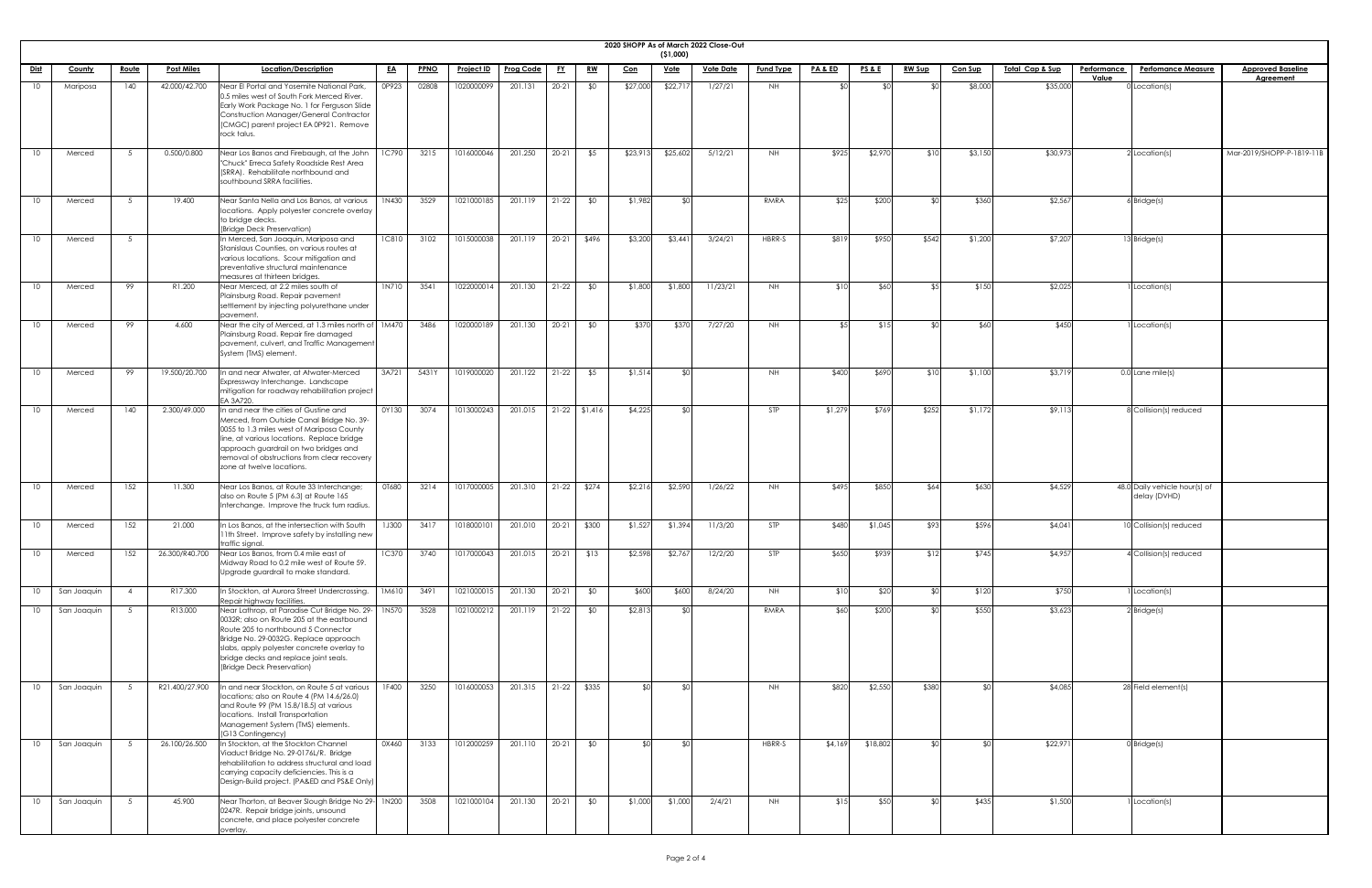|                 | 2020 SHOPP As of March 2022 Close-Out<br>( \$1,000) |                 |                   |                                                                                                                                                                                                                                                                                                      |              |             |                   |                     |           |                 |            |             |                  |                  |                    |                 |                |                |                             |                    |                                               |                           |
|-----------------|-----------------------------------------------------|-----------------|-------------------|------------------------------------------------------------------------------------------------------------------------------------------------------------------------------------------------------------------------------------------------------------------------------------------------------|--------------|-------------|-------------------|---------------------|-----------|-----------------|------------|-------------|------------------|------------------|--------------------|-----------------|----------------|----------------|-----------------------------|--------------------|-----------------------------------------------|---------------------------|
| <u>Dist</u>     | <b>County</b>                                       | <u>Route</u>    | <b>Post Miles</b> | Location/Description                                                                                                                                                                                                                                                                                 | <u>EA</u>    | <b>PPNO</b> | <b>Project ID</b> | <b>Prog Code</b>    | <u>FY</u> | <u>RW</u>       | <u>Con</u> | <u>Vote</u> | <u>Vote Date</u> | <b>Fund Type</b> | <b>PA &amp; ED</b> | <b>PS&amp;E</b> | <b>RW Sup</b>  | <b>Con Sup</b> | <u> Total Cap &amp; Sup</u> | <b>Performance</b> | <b>Perfomance Measure</b>                     | <b>Approved Baseline</b>  |
|                 |                                                     | 140             |                   |                                                                                                                                                                                                                                                                                                      | 0P923        | 0280B       |                   | 201.131             |           |                 |            | \$22,71     |                  |                  |                    |                 |                | \$8,000        |                             | Value              |                                               | <b>Agreement</b>          |
| 10 <sup>°</sup> | Mariposa                                            |                 | 42.000/42.700     | Near El Portal and Yosemite National Park,<br>0.5 miles west of South Fork Merced River.<br>Early Work Package No. 1 for Ferguson Slide<br>Construction Manager/General Contractor<br>(CMGC) parent project EA 0P921. Remove<br>rock talus.                                                          |              |             | 1020000099        |                     | $20 - 21$ | \$0             | \$27,000   |             | 1/27/21          | NH               |                    |                 |                |                | \$35,000                    |                    | $0$ Location(s)                               |                           |
| 10              | Merced                                              | - 5             | 0.500/0.800       | Near Los Banos and Firebaugh, at the John<br>"Chuck" Erreca Safety Roadside Rest Area<br>(SRRA). Rehabilitate northbound and<br>southbound SRRA facilities.                                                                                                                                          | 1C790        | 3215        | 1016000046        | 201.250             | $20 - 21$ | \$5             | \$23,91    | \$25,602    | 5/12/21          | NH .             | \$925              | \$2,970         | \$10           | \$3,150        | \$30,973                    |                    | 2 Location(s)                                 | Mar-2019/SHOPP-P-1819-11B |
| 10 <sup>°</sup> | Merced                                              | 5 <sup>5</sup>  | 19.400            | Near Santa Nella and Los Banos, at various<br>locations. Apply polyester concrete overlay<br>to bridge decks.<br>(Bridge Deck Preservation)                                                                                                                                                          | 1N430        | 3529        | 1021000185        | 201.119             | $21-22$   | \$0             | \$1,982    | ¶∩\$        |                  | RMRA             | \$25               | \$200           | ⊄∩             | \$360          | \$2,567                     |                    | $6$ Bridge $(s)$                              |                           |
| 10              | Merced                                              | - 5             |                   | In Merced, San Joaquin, Mariposa and<br>Stanislaus Counties, on various routes at<br>various locations. Scour mitigation and<br>preventative structural maintenance<br>measures at thirteen bridges.                                                                                                 | <b>1C810</b> | 3102        | 1015000038        | 201.119             | $20 - 21$ | \$496           | \$3,200    | \$3,44]     | 3/24/21          | HBRR-S           | \$819              | \$950           | \$542          | \$1,200        | \$7,207                     |                    | 13 Bridge(s)                                  |                           |
| 10              | Merced                                              | 99              | R1.200            | Near Merced, at 2.2 miles south of<br>Plainsburg Road. Repair pavement<br>settlement by injecting polyurethane under<br>pavement.                                                                                                                                                                    | 1N710        | 3541        | 1022000014        | 201.130             | $21-22$   | \$0             | \$1,800    | \$1,800     | 11/23/21         | NH.              | \$10               | \$60            | $\sqrt{5}$     | \$150          | \$2,025                     |                    | 1 Location(s)                                 |                           |
| 10              | Merced                                              | 99              | 4.600             | Near the city of Merced, at 1.3 miles north of 1M470<br>Plainsburg Road. Repair fire damaged<br>pavement, culvert, and Traffic Management<br>System (TMS) element.                                                                                                                                   |              | 3486        | 1020000189        | 201.130             | $20 - 21$ | \$0             | \$370      | \$370       | 7/27/20          | <b>NH</b>        | <b>t 5</b>         | \$1.5           | $\mathfrak{g}$ | \$60           | \$450                       |                    | Location(s)                                   |                           |
| 10              | Merced                                              | 99              | 19.500/20.700     | n and near Atwater, at Atwater-Merced<br>Expressway Interchange. Landscape<br>mitigation for roadway rehabilitation project<br>EA 3A720.                                                                                                                                                             | 3A721        | 5431Y       | 1019000020        | 201.122             | $21-22$   | \$5             | \$1,514    | <b>RO</b>   |                  | NH.              | \$400              | \$690           | \$10           | \$1,100        | \$3,71                      |                    | 0.0 Lane mile(s)                              |                           |
| 10 <sup>°</sup> | Merced                                              | 140             | 2.300/49.000      | In and near the cities of Gustine and<br>Merced, from Outside Canal Bridge No. 39-<br>0055 to 1.3 miles west of Mariposa County<br>line, at various locations. Replace bridge<br>approach guardrail on two bridges and<br>removal of obstructions from clear recovery<br>zone at twelve locations.   | 0Y130        | 3074        | 1013000243        | 201.015             |           | $21-22$ \$1,416 | \$4,225    | SO          |                  | <b>STP</b>       | \$1,279            | \$769           | \$252          | \$1,172        | \$9,113                     |                    | 8 Collision(s) reduced                        |                           |
| 10              | Merced                                              | 152             | 11.300            | Near Los Banos, at Route 33 Interchange;<br>also on Route 5 (PM 6.3) at Route 165<br>Interchange. Improve the truck turn radius.                                                                                                                                                                     | OT680        | 3214        | 1017000005        | 201.310             | $21-22$   | \$274           | \$2,216    | \$2,590     | 1/26/22          | NH .             | \$495              | \$850           | \$64           | \$630          | \$4,529                     |                    | 48.0 Daily vehicle hour(s) of<br>delay (DVHD) |                           |
| 10              | Merced                                              | 152             | 21.000            | In Los Banos, at the intersection with South<br>I 1th Street. Improve safety by installing new<br>traffic signal.                                                                                                                                                                                    | <b>1J300</b> | 3417        | 1018000101        | 201.010             | $20-21$   | \$300           | \$1,527    | \$1,394     | 11/3/20          | STP              | \$480              | \$1,045         | \$93           | \$596          | \$4,04]                     |                    | 10 Collision(s) reduced                       |                           |
| 10              | Merced                                              | 152             | 26.300/R40.700    | Near Los Banos, from 0.4 mile east of<br>Midway Road to 0.2 mile west of Route 59.<br>Upgrade guardrail to make standard.                                                                                                                                                                            | 1C370        | 3740        | 1017000043        | 201.015             | $20 - 21$ | \$13            | \$2,598    | \$2,767     | 12/2/20          | STP              | \$650              | \$939           | \$12           | \$745          | \$4,957                     |                    | 4 Collision(s) reduced                        |                           |
| 10 <sup>°</sup> | San Joaquin                                         | $\overline{4}$  | R17.300           | In Stockton, at Aurora Street Undercrossing.<br>Repair highway facilities.                                                                                                                                                                                                                           | 1M610        | 3491        | 1021000015        | 201.130             | $20-21$   | \$0             | \$600      | \$600       | 8/24/20          | <b>NH</b>        | \$10               | \$20            | $\mathcal{L}$  | \$120          | \$750                       |                    | 1 Location(s)                                 |                           |
| 10 <sup>°</sup> | San Joaquin                                         | - 5             | R13.000           | Near Lathrop, at Paradise Cut Bridge No. 29-11N570<br>0032R; also on Route 205 at the eastbound<br>Route 205 to northbound 5 Connector<br>Bridge No. 29-0032G. Replace approach<br>slabs, apply polyester concrete overlay to<br>bridge decks and replace joint seals.<br>(Bridge Deck Preservation) |              | 3528        | 1021000212        | 201.119             | $21-22$   | \$0             | \$2,813    | _\$∩l       |                  | RMRA             | \$60               | \$200           | $\sqrt{2}$     | \$550          | \$3,623                     |                    | $2$ Bridge(s)                                 |                           |
| 10              | San Joaquin                                         |                 | R21.400/27.900    | In and near Stockton, on Route 5 at various<br>locations; also on Route 4 (PM 14.6/26.0)<br>and Route 99 (PM 15.8/18.5) at various<br>locations. Install Transportation<br>Management System (TMS) elements.<br>(G13 Contingency)                                                                    | 1F400        | 3250        | 1016000053        | 201.315 21-22 \$335 |           |                 |            |             |                  | <b>NH</b>        | \$820              | \$2,550         | \$380          |                | \$4,085                     |                    | 28 Field element(s)                           |                           |
| 10              | San Joaquin                                         | $5\overline{)}$ | 26.100/26.500     | In Stockton, at the Stockton Channel<br>Viaduct Bridge No. 29-0176L/R. Bridge<br>rehabilitation to address structural and load<br>carrying capacity deficiencies. This is a<br>Design-Build project. (PA&ED and PS&E Only)                                                                           | 0X460        | 3133        | 1012000259        | 201.110             | $20-21$   | \$0             |            | -SOI        |                  | HBRR-S           | \$4,169            | \$18,802        | ו∩⊅            |                | \$22,971                    |                    | $0$ Bridge $(s)$                              |                           |
| 10              | San Joaquin                                         | 5 <sup>5</sup>  | 45.900            | Near Thorton, at Beaver Slough Bridge No 29- 1N200<br>0247R. Repair bridge joints, unsound<br>concrete, and place polyester concrete<br>overlay.                                                                                                                                                     |              | 3508        | 1021000104        | 201.130             | $20-21$   | \$0             | \$1,000    | \$1,000     | 2/4/21           | NH .             | \$15               | \$50            |                | \$435          | \$1,500                     |                    | 1 Location(s)                                 |                           |

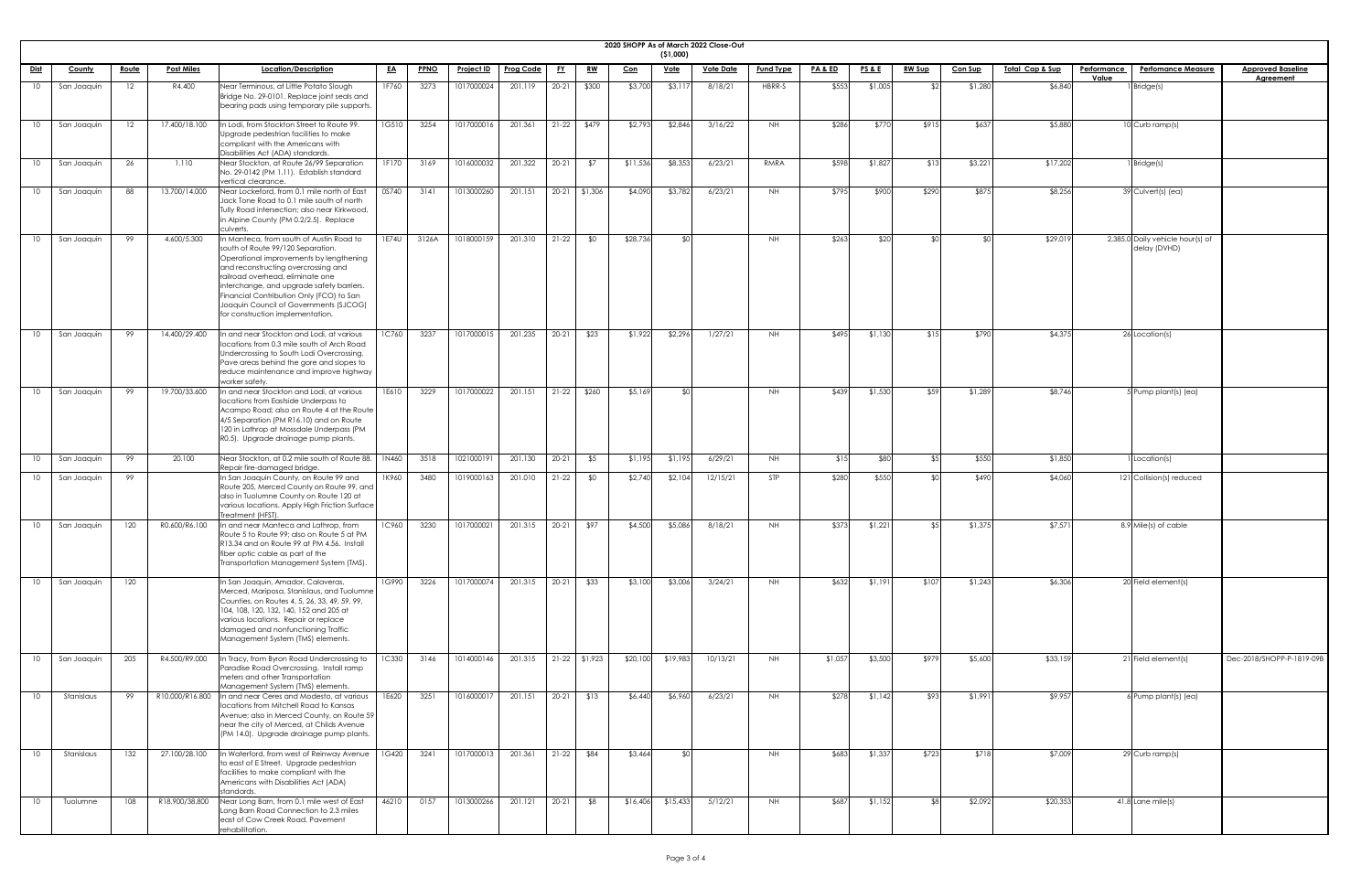| <b>2020 SHOPP</b> |  |
|-------------------|--|

|                 | 2020 SHOPP As of March 2022 Close-Out<br>(51,000) |              |                   |                                                                                                                                                                                                                                                                                                                                                                            |              |             |                   |                  |           |                 |            |             |                  |                  |                    |                 |               |                |                            |                    |                                                  |                           |
|-----------------|---------------------------------------------------|--------------|-------------------|----------------------------------------------------------------------------------------------------------------------------------------------------------------------------------------------------------------------------------------------------------------------------------------------------------------------------------------------------------------------------|--------------|-------------|-------------------|------------------|-----------|-----------------|------------|-------------|------------------|------------------|--------------------|-----------------|---------------|----------------|----------------------------|--------------------|--------------------------------------------------|---------------------------|
| <u>Dist</u>     | <b>County</b>                                     | <u>Route</u> | <b>Post Miles</b> | Location/Description                                                                                                                                                                                                                                                                                                                                                       | <u>EA</u>    | <b>PPNO</b> | <b>Project ID</b> | <b>Prog Code</b> | <u>FY</u> | <u>RW</u>       |            | <u>Vote</u> | <u>Vote Date</u> | <b>Fund Type</b> | <u>PA &amp; ED</u> | <b>PS&amp;E</b> | <b>RW Sup</b> | <b>Con Sup</b> | <u>Total Cap &amp; Sup</u> | <u>Performance</u> | <b>Perfomance Measure</b>                        | <b>Approved Baseline</b>  |
|                 |                                                   |              |                   |                                                                                                                                                                                                                                                                                                                                                                            |              |             |                   |                  |           |                 | <u>Con</u> |             |                  |                  |                    |                 |               |                |                            | Value              |                                                  | <b>Agreement</b>          |
| 10              | San Joaquin                                       | 12           | R4.400            | Near Terminous, at Little Potato Slough<br>Bridge No. 29-0101. Replace joint seals and<br>bearing pads using temporary pile supports.                                                                                                                                                                                                                                      | 1F760        | 3273        | 1017000024        | 201.119          | $20 - 21$ | \$300           | \$3,700    | \$3,11      | 8/18/21          | HBRR-S           | \$553              | \$1,005         | \$21          | \$1,280        | \$6,840                    |                    | 1 Bridge(s)                                      |                           |
|                 | San Joaquin                                       | 12           | 17.400/18.100     | n Lodi, from Stockton Street to Route 99.<br>Upgrade pedestrian facilities to make<br>compliant with the Americans with                                                                                                                                                                                                                                                    | 1G510        | 3254        | 1017000016        | 201.361          |           | $21-22$ \$479   | \$2,793    | \$2,846     | 3/16/22          | NH .             | \$286              | \$770           | \$915         | \$637          | \$5,880                    |                    | 10 Curb ramp(s)                                  |                           |
| 10 <sup>°</sup> | San Joaquin                                       | 26           | 1.110             | Disabilities Act (ADA) standards<br>Near Stockton, at Route 26/99 Separation<br>No. 29-0142 (PM 1.11). Establish standard<br>vertical clearance                                                                                                                                                                                                                            | 1F170        | 3169        | 1016000032        | 201.322          | $20 - 21$ | \$7             | \$11,536   | \$8,353     | 6/23/21          | RMRA             | \$598              | \$1,827         | \$13          | \$3,221        | \$17,202                   |                    | $1$ <i>Bridge(s)</i>                             |                           |
| 10              | San Joaquin                                       | 88           | 13.700/14.000     | Near Lockeford, from 0.1 mile north of East<br>Jack Tone Road to 0.1 mile south of north<br>Tully Road intersection; also near Kirkwood,<br>in Alpine County (PM 0.2/2.5). Replace<br>culverts.                                                                                                                                                                            | 0S740        | 3141        | 1013000260        | 201.151          |           | 20-21 \$1,306   | \$4,090    | \$3,782     | 6/23/21          | NH               | \$795              | \$900           | \$290         | \$875          | \$8,256                    |                    | 39 Culvert(s) (ea)                               |                           |
| 10              | San Joaquin                                       | 99           | 4.600/5.300       | In Manteca, from south of Austin Road to<br>south of Route 99/120 Separation.<br>Operational improvements by lengthening<br>and reconstructing overcrossing and<br>railroad overhead, eliminate one<br>interchange, and upgrade safety barriers.<br>Financial Contribution Only (FCO) to San<br>Joaquin Council of Governments (SJCOG)<br>for construction implementation. | 1E74U        | 3126A       | 1018000159        | 201.310          | $21-22$   | \$0             | \$28,736   | ീ∩          |                  | <b>NH</b>        | \$263              | \$20            | ¢Λ            | ¢Λ             | \$29,019                   |                    | 2,385.0 Daily vehicle hour(s) of<br>delay (DVHD) |                           |
| 10              | San Joaquin                                       | 99           | 14.400/29.400     | n and near Stockton and Lodi, at various<br>locations from 0.3 mile south of Arch Road<br>Undercrossing to South Lodi Overcrossing.<br>Pave areas behind the gore and slopes to<br>reduce maintenance and improve highway<br>worker safety.                                                                                                                                | 1C760        | 3237        | 1017000015        | 201.235          | $20-21$   | \$23            | \$1,922    | \$2,296     | 1/27/21          | NH               | \$495              | \$1,130         | \$15          | \$790          | \$4,375                    |                    | 26 Location(s)                                   |                           |
| 10              | San Joaquin                                       | 99           | 19.700/33.600     | n and near Stockton and Lodi, at various<br>locations from Eastside Underpass to<br>Acampo Road; also on Route 4 at the Route<br>4/5 Separation (PM R16.10) and on Route<br>120 in Lathrop at Mossdale Underpass (PM<br>R0.5). Upgrade drainage pump plants.                                                                                                               | 1E610        | 3229        | 1017000022        | 201.151          |           | $21-22$ \$260   | \$5,169    | ያ የህ        |                  | NH               | \$439              | \$1,530         | \$59          | \$1,289        | \$8,746                    |                    | 5 Pump plant(s) (ea)                             |                           |
| 10              | San Joaquin                                       | 99           | 20.100            | Near Stockton, at 0.2 mile south of Route 88.   1N460<br>Repair fire-damaged bridge.                                                                                                                                                                                                                                                                                       |              | 3518        | 1021000191        | 201.130          | $20 - 21$ | \$5             | \$1,195    | \$1,195     | 6/29/21          | <b>NH</b>        | \$15               | \$80            | \$5           | \$550          | \$1,850                    |                    | I Location(s)                                    |                           |
| 10              | San Joaquin                                       | 99           |                   | In San Joaquin County, on Route 99 and<br>Route 205, Merced County on Route 99, and<br>also in Tuolumne County on Route 120 at<br>various locations. Apply High Friction Surface<br>Treatment (HFST).                                                                                                                                                                      | 1K960        | 3480        | 1019000163        | 201.010          | $21-22$   | \$0             | \$2,740    | \$2,104     | 12/15/21         | STP              | \$280              | \$550           | ו∩≯           | \$490          | \$4,060                    |                    | 121 Collision(s) reduced                         |                           |
| 10              | San Joaquin                                       | 120          | R0.600/R6.100     | In and near Manteca and Lathrop, from<br>Route 5 to Route 99; also on Route 5 at PM<br>R13.34 and on Route 99 at PM 4.56. Install<br>fiber optic cable as part of the<br>Transportation Management System (TMS).                                                                                                                                                           | <b>1C960</b> | 3230        | 1017000021        | 201.315          |           | 20-21   \$97    | \$4,500    | \$5,086     | 8/18/21          | NH               | \$373              | \$1,221         | \$51          | \$1,375        | \$7,571                    |                    | 8.9 Mile(s) of cable                             |                           |
| 10              | San Joaquin                                       | 120          |                   | In San Joaquin, Amador, Calaveras,<br>Merced, Mariposa, Stanislaus, and Tuolumne<br>Counties, on Routes 4, 5, 26, 33, 49, 59, 99,<br>104, 108, 120, 132, 140, 152 and 205 at<br>various locations. Repair or replace<br>damaged and nonfunctioning Traffic<br>Management System (TMS) elements.                                                                            | 1G990        | 3226        | 1017000074        | 201.315          | $20-21$   | \$33            | \$3,100    | \$3,006     | 3/24/21          | NH               | \$632              | \$1,191         | \$107         | \$1,243        | \$6,306                    |                    | 20 Field element(s)                              |                           |
|                 | San Joaquin                                       | 205          | R4.500/R9.000     | In Tracy, from Byron Road Undercrossing to<br>Paradise Road Overcrossing. Install ramp<br>meters and other Transportation<br>Management System (TMS) elements.                                                                                                                                                                                                             | 1C330        | 3146        | 1014000146        | 201.315          |           | $21-22$ \$1,923 | \$20,100   | \$19,983    | 10/13/21         | NH               | \$1,057            | \$3,500         | \$979         | \$5,600        | \$33,159                   |                    | 21 Field element(s)                              | Dec-2018/SHOPP-P-1819-09B |
| 10              | Stanislaus                                        | 99           |                   | R10.000/R16.800  In and near Ceres and Modesto, at various<br>locations from Mitchell Road to Kansas<br>Avenue; also in Merced County, on Route 59<br>near the city of Merced, at Childs Avenue<br>(PM 14.0). Upgrade drainage pump plants.                                                                                                                                | 1E620        | 3251        | 1016000017        | 201.151          |           | $20-21$ \$13    | \$6,440    | \$6,960     | 6/23/21          | <b>NH</b>        | \$278              | \$1,142         | \$93          | \$1,991        | \$9,957                    |                    | 6 Pump plant(s) (ea)                             |                           |
| 10              | Stanislaus                                        | 132          | 27.100/28.100     | In Waterford, from west of Reinway Avenue<br>to east of E Street. Upgrade pedestrian<br>facilities to make compliant with the<br>Americans with Disabilities Act (ADA)<br>standards.                                                                                                                                                                                       | 1G420        | 3241        | 1017000013        | 201.361          | $21-22$   | \$84            | \$3,464    | ו∩≯         |                  | NH               | \$683              | \$1,337         | \$723         | \$718          | \$7,009                    |                    | $\boxed{29}$ Curb ramp(s)                        |                           |
| 10              | Tuolumne                                          | 108          | R18.900/38.800    | Near Long Barn, from 0.1 mile west of East<br>Long Barn Road Connection to 2.3 miles<br>east of Cow Creek Road. Pavement<br>rehabilitation.                                                                                                                                                                                                                                | 46210        | 0157        | 1013000266        | 201.121          | $20-21$   | \$8             | \$16,406   | \$15,433    | 5/12/21          | NH               | \$687              | \$1,152         | <b>\$81</b>   | \$2,092        | \$20,353                   |                    | $41.8$ Lane mile(s)                              |                           |

| <mark>eline</mark><br>It |
|--------------------------|
|                          |
|                          |
|                          |
|                          |
|                          |
|                          |
|                          |
|                          |
|                          |
|                          |
|                          |
|                          |
|                          |
|                          |
|                          |
|                          |
|                          |
|                          |
|                          |
|                          |
|                          |
|                          |
|                          |
|                          |
|                          |
|                          |
|                          |
|                          |
|                          |
|                          |
|                          |
|                          |
|                          |
|                          |
|                          |
|                          |
|                          |
|                          |
|                          |
| $-1819 - 09B$            |
|                          |
|                          |
|                          |
|                          |
|                          |
|                          |
|                          |
|                          |
|                          |
|                          |
|                          |
|                          |
|                          |